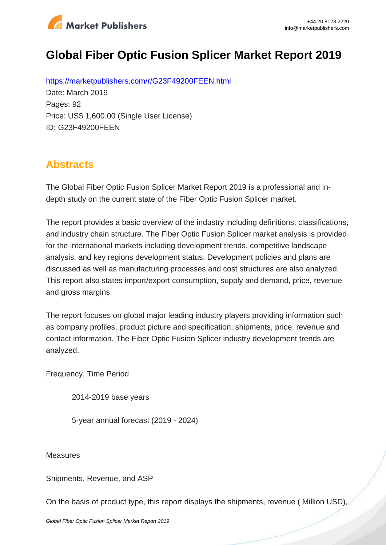

# **Global Fiber Optic Fusion Splicer Market Report 2019**

https://marketpublishers.com/r/G23F49200FEEN.html Date: March 2019 Pages: 92 Price: US\$ 1,600.00 (Single User License) ID: G23F49200FEEN

## **Abstracts**

The Global Fiber Optic Fusion Splicer Market Report 2019 is a professional and indepth study on the current state of the Fiber Optic Fusion Splicer market.

The report provides a basic overview of the industry including definitions, classifications, and industry chain structure. The Fiber Optic Fusion Splicer market analysis is provided for the international markets including development trends, competitive landscape analysis, and key regions development status. Development policies and plans are discussed as well as manufacturing processes and cost structures are also analyzed. This report also states import/export consumption, supply and demand, price, revenue and gross margins.

The report focuses on global major leading industry players providing information such as company profiles, product picture and specification, shipments, price, revenue and contact information. The Fiber Optic Fusion Splicer industry development trends are analyzed.

Frequency, Time Period

2014-2019 base years

5-year annual forecast (2019 - 2024)

**Measures** 

Shipments, Revenue, and ASP

On the basis of product type, this report displays the shipments, revenue ( Million USD),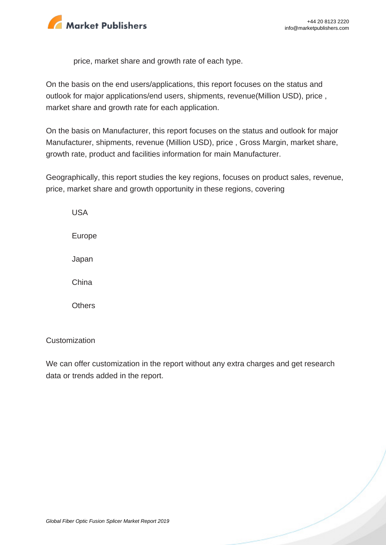

price, market share and growth rate of each type.

On the basis on the end users/applications, this report focuses on the status and outlook for major applications/end users, shipments, revenue(Million USD), price , market share and growth rate for each application.

On the basis on Manufacturer, this report focuses on the status and outlook for major Manufacturer, shipments, revenue (Million USD), price , Gross Margin, market share, growth rate, product and facilities information for main Manufacturer.

Geographically, this report studies the key regions, focuses on product sales, revenue, price, market share and growth opportunity in these regions, covering

USA Europe Japan China **Others** 

#### **Customization**

We can offer customization in the report without any extra charges and get research data or trends added in the report.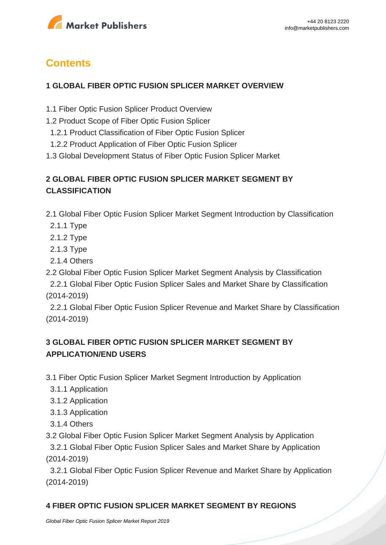

## **Contents**

#### **1 GLOBAL FIBER OPTIC FUSION SPLICER MARKET OVERVIEW**

- 1.1 Fiber Optic Fusion Splicer Product Overview
- 1.2 Product Scope of Fiber Optic Fusion Splicer
- 1.2.1 Product Classification of Fiber Optic Fusion Splicer
- 1.2.2 Product Application of Fiber Optic Fusion Splicer
- 1.3 Global Development Status of Fiber Optic Fusion Splicer Market

## **2 GLOBAL FIBER OPTIC FUSION SPLICER MARKET SEGMENT BY CLASSIFICATION**

2.1 Global Fiber Optic Fusion Splicer Market Segment Introduction by Classification

- 2.1.1 Type
- 2.1.2 Type
- 2.1.3 Type
- 2.1.4 Others

2.2 Global Fiber Optic Fusion Splicer Market Segment Analysis by Classification

 2.2.1 Global Fiber Optic Fusion Splicer Sales and Market Share by Classification (2014-2019)

 2.2.1 Global Fiber Optic Fusion Splicer Revenue and Market Share by Classification (2014-2019)

## **3 GLOBAL FIBER OPTIC FUSION SPLICER MARKET SEGMENT BY APPLICATION/END USERS**

- 3.1 Fiber Optic Fusion Splicer Market Segment Introduction by Application
	- 3.1.1 Application
	- 3.1.2 Application
	- 3.1.3 Application
	- 3.1.4 Others
- 3.2 Global Fiber Optic Fusion Splicer Market Segment Analysis by Application

 3.2.1 Global Fiber Optic Fusion Splicer Sales and Market Share by Application (2014-2019)

 3.2.1 Global Fiber Optic Fusion Splicer Revenue and Market Share by Application (2014-2019)

### **4 FIBER OPTIC FUSION SPLICER MARKET SEGMENT BY REGIONS**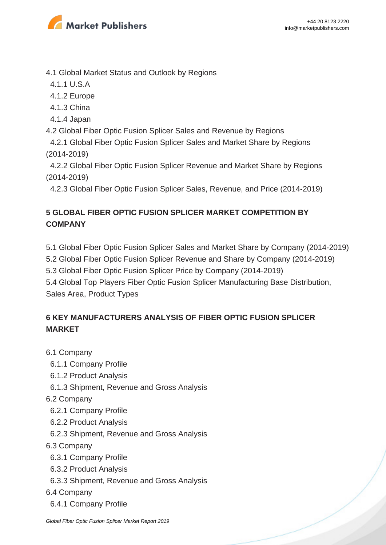

4.1 Global Market Status and Outlook by Regions

- 4.1.1 U.S.A
- 4.1.2 Europe
- 4.1.3 China
- 4.1.4 Japan
- 4.2 Global Fiber Optic Fusion Splicer Sales and Revenue by Regions
- 4.2.1 Global Fiber Optic Fusion Splicer Sales and Market Share by Regions (2014-2019)
- 4.2.2 Global Fiber Optic Fusion Splicer Revenue and Market Share by Regions (2014-2019)

4.2.3 Global Fiber Optic Fusion Splicer Sales, Revenue, and Price (2014-2019)

## **5 GLOBAL FIBER OPTIC FUSION SPLICER MARKET COMPETITION BY COMPANY**

- 5.1 Global Fiber Optic Fusion Splicer Sales and Market Share by Company (2014-2019)
- 5.2 Global Fiber Optic Fusion Splicer Revenue and Share by Company (2014-2019)
- 5.3 Global Fiber Optic Fusion Splicer Price by Company (2014-2019)
- 5.4 Global Top Players Fiber Optic Fusion Splicer Manufacturing Base Distribution, Sales Area, Product Types

## **6 KEY MANUFACTURERS ANALYSIS OF FIBER OPTIC FUSION SPLICER MARKET**

- 6.1 Company
	- 6.1.1 Company Profile
	- 6.1.2 Product Analysis
- 6.1.3 Shipment, Revenue and Gross Analysis
- 6.2 Company
	- 6.2.1 Company Profile
- 6.2.2 Product Analysis
- 6.2.3 Shipment, Revenue and Gross Analysis
- 6.3 Company
	- 6.3.1 Company Profile
	- 6.3.2 Product Analysis
	- 6.3.3 Shipment, Revenue and Gross Analysis
- 6.4 Company
	- 6.4.1 Company Profile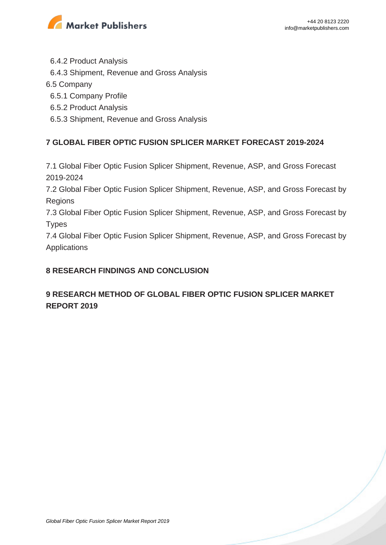

6.4.2 Product Analysis

6.4.3 Shipment, Revenue and Gross Analysis

#### 6.5 Company

6.5.1 Company Profile

6.5.2 Product Analysis

6.5.3 Shipment, Revenue and Gross Analysis

### **7 GLOBAL FIBER OPTIC FUSION SPLICER MARKET FORECAST 2019-2024**

7.1 Global Fiber Optic Fusion Splicer Shipment, Revenue, ASP, and Gross Forecast 2019-2024

7.2 Global Fiber Optic Fusion Splicer Shipment, Revenue, ASP, and Gross Forecast by Regions

7.3 Global Fiber Optic Fusion Splicer Shipment, Revenue, ASP, and Gross Forecast by **Types** 

7.4 Global Fiber Optic Fusion Splicer Shipment, Revenue, ASP, and Gross Forecast by Applications

#### **8 RESEARCH FINDINGS AND CONCLUSION**

## **9 RESEARCH METHOD OF GLOBAL FIBER OPTIC FUSION SPLICER MARKET REPORT 2019**